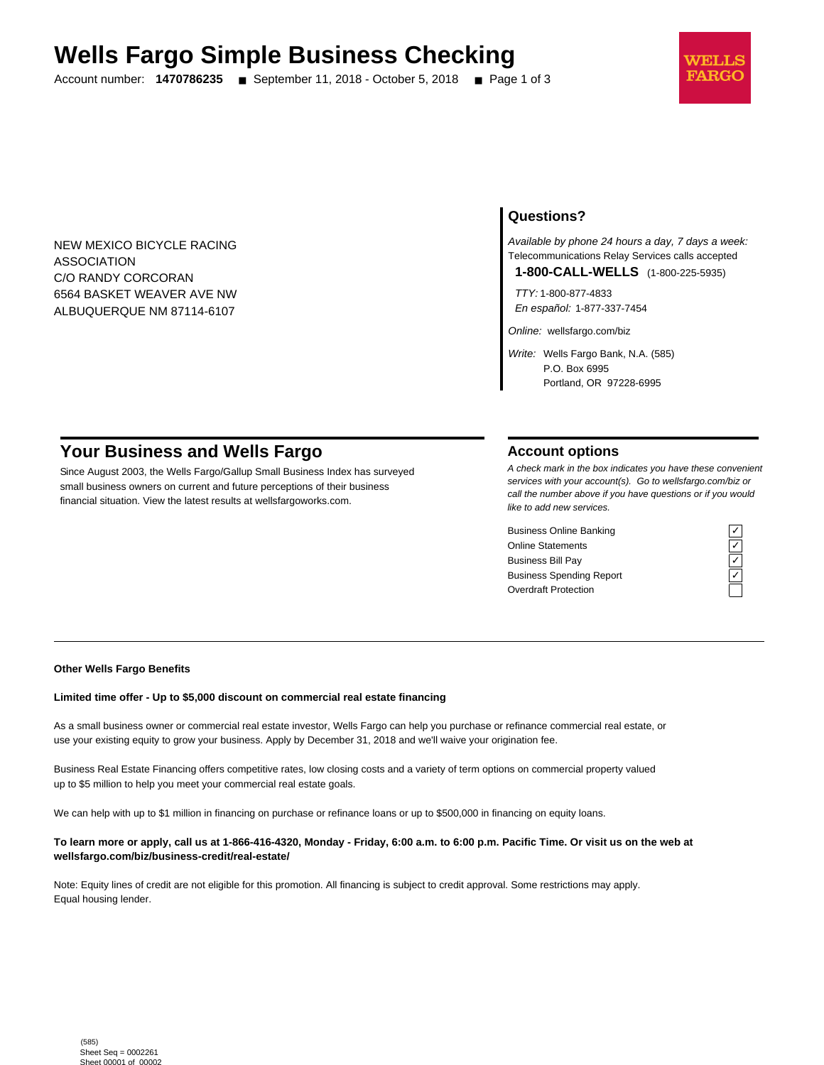# **Wells Fargo Simple Business Checking**

Account number: **1470786235** ■ September 11, 2018 - October 5, 2018 ■ Page 1 of 3



NEW MEXICO BICYCLE RACING ASSOCIATION C/O RANDY CORCORAN 6564 BASKET WEAVER AVE NW ALBUQUERQUE NM 87114-6107

# **Questions?**

Available by phone 24 hours a day, 7 days a week: Telecommunications Relay Services calls accepted

**1-800-CALL-WELLS** (1-800-225-5935)

TTY: 1-800-877-4833 En español: 1-877-337-7454

Online: wellsfargo.com/biz

Write: Wells Fargo Bank, N.A. (585) P.O. Box 6995 Portland, OR 97228-6995

# **Your Business and Wells Fargo**

Since August 2003, the Wells Fargo/Gallup Small Business Index has surveyed small business owners on current and future perceptions of their business financial situation. View the latest results at wellsfargoworks.com.

## **Account options**

A check mark in the box indicates you have these convenient services with your account(s). Go to wellsfargo.com/biz or call the number above if you have questions or if you would like to add new services.

Business Online Banking Online Statements ✓ Business Bill Pay Business Spending Report Overdraft Protection

#### **Other Wells Fargo Benefits**

#### **Limited time offer - Up to \$5,000 discount on commercial real estate financing**

As a small business owner or commercial real estate investor, Wells Fargo can help you purchase or refinance commercial real estate, or use your existing equity to grow your business. Apply by December 31, 2018 and we'll waive your origination fee.

Business Real Estate Financing offers competitive rates, low closing costs and a variety of term options on commercial property valued up to \$5 million to help you meet your commercial real estate goals.

We can help with up to \$1 million in financing on purchase or refinance loans or up to \$500,000 in financing on equity loans.

#### **To learn more or apply, call us at 1-866-416-4320, Monday - Friday, 6:00 a.m. to 6:00 p.m. Pacific Time. Or visit us on the web at wellsfargo.com/biz/business-credit/real-estate/**

Note: Equity lines of credit are not eligible for this promotion. All financing is subject to credit approval. Some restrictions may apply. Equal housing lender.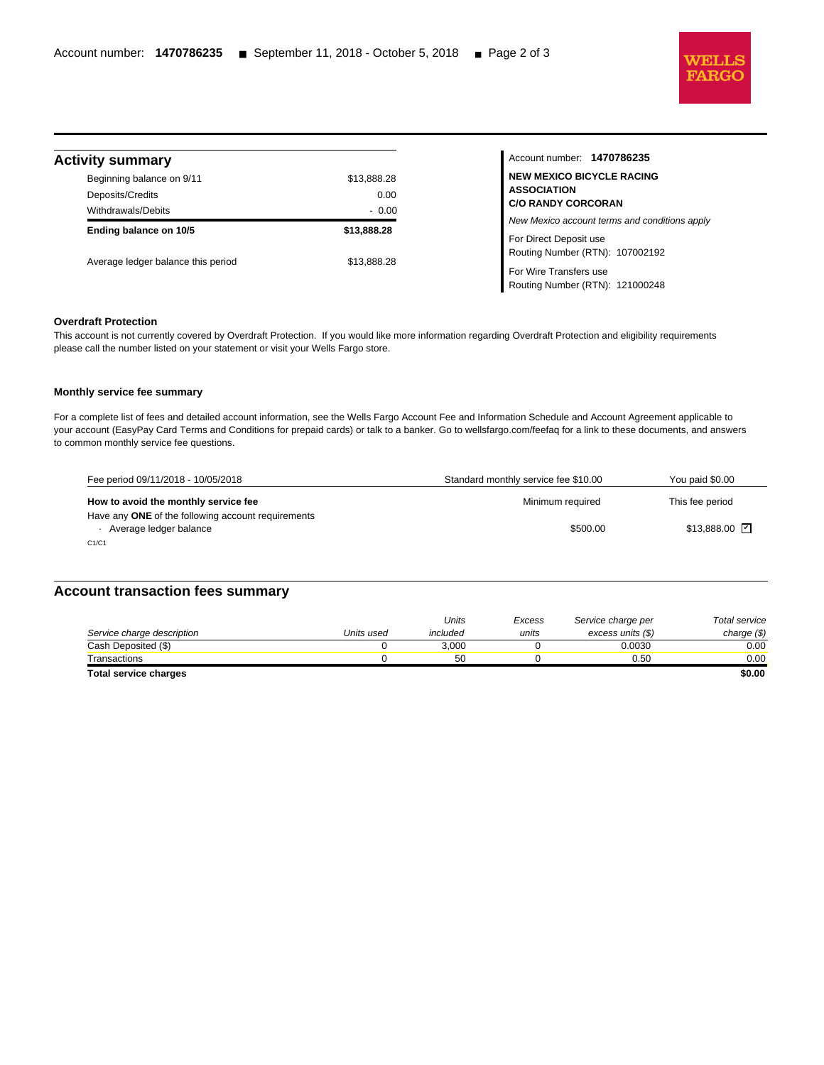

| <b>Activity summary</b> |  |  |  |  |  |  |  |
|-------------------------|--|--|--|--|--|--|--|
|-------------------------|--|--|--|--|--|--|--|

l

| VILY SUITHINGLY                    |             |
|------------------------------------|-------------|
| Beginning balance on 9/11          | \$13,888.28 |
| Deposits/Credits                   | 0.00        |
| Withdrawals/Debits                 | $-0.00$     |
| Ending balance on 10/5             | \$13,888,28 |
| Average ledger balance this period | \$13.888.28 |

Account number: **1470786235 NEW MEXICO BICYCLE RACING ASSOCIATION C/O RANDY CORCORAN** New Mexico account terms and conditions apply For Direct Deposit use Routing Number (RTN): 107002192 For Wire Transfers use Routing Number (RTN): 121000248

#### **Overdraft Protection**

This account is not currently covered by Overdraft Protection. If you would like more information regarding Overdraft Protection and eligibility requirements please call the number listed on your statement or visit your Wells Fargo store.

#### **Monthly service fee summary**

For a complete list of fees and detailed account information, see the Wells Fargo Account Fee and Information Schedule and Account Agreement applicable to your account (EasyPay Card Terms and Conditions for prepaid cards) or talk to a banker. Go to wellsfargo.com/feefaq for a link to these documents, and answers to common monthly service fee questions.

| Fee period 09/11/2018 - 10/05/2018                                           | Standard monthly service fee \$10.00 | You paid \$0.00     |
|------------------------------------------------------------------------------|--------------------------------------|---------------------|
| How to avoid the monthly service fee                                         | Minimum required                     | This fee period     |
| Have any ONE of the following account requirements<br>Average ledger balance | \$500.00                             | $$13,888.00$ $\Box$ |
| C1/C1                                                                        |                                      |                     |

## **Account transaction fees summary**

|                            |            | Units    | Excess | Service charge per | Total service |
|----------------------------|------------|----------|--------|--------------------|---------------|
| Service charge description | Units used | included | units  | excess units (\$)  | charge $(\$)$ |
| Cash Deposited (\$)        |            | 3.000    |        | 0.0030             | $0.00\,$      |
| Transactions               |            | 50       |        | 0.50               | 0.00          |
| Total service charges      |            |          |        |                    | \$0.00        |